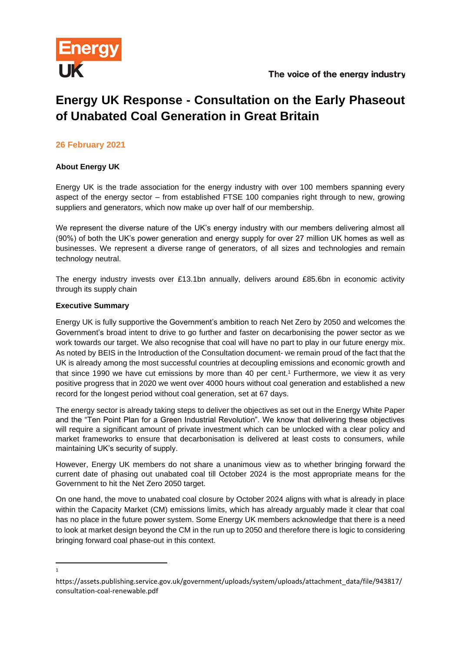

# **Energy UK Response - Consultation on the Early Phaseout of Unabated Coal Generation in Great Britain**

# **26 February 2021**

## **About Energy UK**

Energy UK is the trade association for the energy industry with over 100 members spanning every aspect of the energy sector – from established FTSE 100 companies right through to new, growing suppliers and generators, which now make up over half of our membership.

We represent the diverse nature of the UK's energy industry with our members delivering almost all (90%) of both the UK's power generation and energy supply for over 27 million UK homes as well as businesses. We represent a diverse range of generators, of all sizes and technologies and remain technology neutral.

The energy industry invests over £13.1bn annually, delivers around £85.6bn in economic activity through its supply chain

#### **Executive Summary**

1

Energy UK is fully supportive the Government's ambition to reach Net Zero by 2050 and welcomes the Government's broad intent to drive to go further and faster on decarbonising the power sector as we work towards our target. We also recognise that coal will have no part to play in our future energy mix. As noted by BEIS in the Introduction of the Consultation document- we remain proud of the fact that the UK is already among the most successful countries at decoupling emissions and economic growth and that since 1990 we have cut emissions by more than 40 per cent.<sup>1</sup> Furthermore, we view it as very positive progress that in 2020 we went over 4000 hours without coal generation and established a new record for the longest period without coal generation, set at 67 days.

The energy sector is already taking steps to deliver the objectives as set out in the Energy White Paper and the "Ten Point Plan for a Green Industrial Revolution". We know that delivering these objectives will require a significant amount of private investment which can be unlocked with a clear policy and market frameworks to ensure that decarbonisation is delivered at least costs to consumers, while maintaining UK's security of supply.

However, Energy UK members do not share a unanimous view as to whether bringing forward the current date of phasing out unabated coal till October 2024 is the most appropriate means for the Government to hit the Net Zero 2050 target.

On one hand, the move to unabated coal closure by October 2024 aligns with what is already in place within the Capacity Market (CM) emissions limits, which has already arguably made it clear that coal has no place in the future power system. Some Energy UK members acknowledge that there is a need to look at market design beyond the CM in the run up to 2050 and therefore there is logic to considering bringing forward coal phase-out in this context.

https://assets.publishing.service.gov.uk/government/uploads/system/uploads/attachment\_data/file/943817/ consultation-coal-renewable.pdf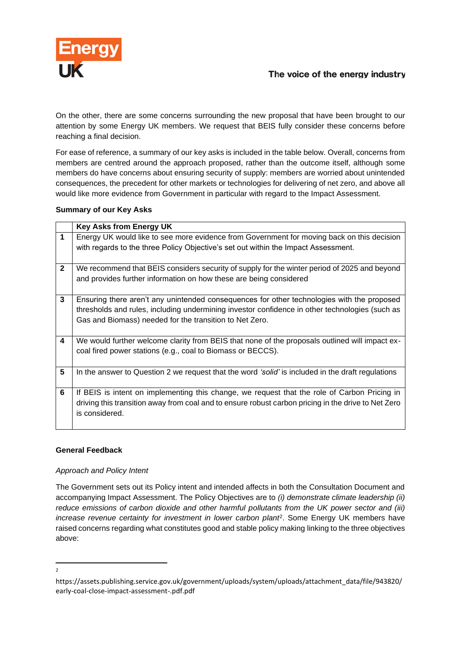

On the other, there are some concerns surrounding the new proposal that have been brought to our attention by some Energy UK members. We request that BEIS fully consider these concerns before reaching a final decision.

For ease of reference, a summary of our key asks is included in the table below. Overall, concerns from members are centred around the approach proposed, rather than the outcome itself, although some members do have concerns about ensuring security of supply: members are worried about unintended consequences, the precedent for other markets or technologies for delivering of net zero, and above all would like more evidence from Government in particular with regard to the Impact Assessment.

## **Summary of our Key Asks**

|              | <b>Key Asks from Energy UK</b>                                                                      |
|--------------|-----------------------------------------------------------------------------------------------------|
| 1            | Energy UK would like to see more evidence from Government for moving back on this decision          |
|              | with regards to the three Policy Objective's set out within the Impact Assessment.                  |
|              |                                                                                                     |
| $\mathbf{2}$ | We recommend that BEIS considers security of supply for the winter period of 2025 and beyond        |
|              | and provides further information on how these are being considered                                  |
|              |                                                                                                     |
| 3            | Ensuring there aren't any unintended consequences for other technologies with the proposed          |
|              | thresholds and rules, including undermining investor confidence in other technologies (such as      |
|              | Gas and Biomass) needed for the transition to Net Zero.                                             |
|              |                                                                                                     |
| 4            | We would further welcome clarity from BEIS that none of the proposals outlined will impact ex-      |
|              | coal fired power stations (e.g., coal to Biomass or BECCS).                                         |
|              |                                                                                                     |
| 5            | In the answer to Question 2 we request that the word 'solid' is included in the draft regulations   |
|              |                                                                                                     |
| 6            | If BEIS is intent on implementing this change, we request that the role of Carbon Pricing in        |
|              | driving this transition away from coal and to ensure robust carbon pricing in the drive to Net Zero |
|              | is considered.                                                                                      |
|              |                                                                                                     |

## **General Feedback**

#### *Approach and Policy Intent*

The Government sets out its Policy intent and intended affects in both the Consultation Document and accompanying Impact Assessment. The Policy Objectives are to *(i) demonstrate climate leadership (ii) reduce emissions of carbon dioxide and other harmful pollutants from the UK power sector and (iii) increase revenue certainty for investment in lower carbon plant*<sup>2</sup> . Some Energy UK members have raised concerns regarding what constitutes good and stable policy making linking to the three objectives above:

 $\overline{2}$ 

https://assets.publishing.service.gov.uk/government/uploads/system/uploads/attachment\_data/file/943820/ early-coal-close-impact-assessment-.pdf.pdf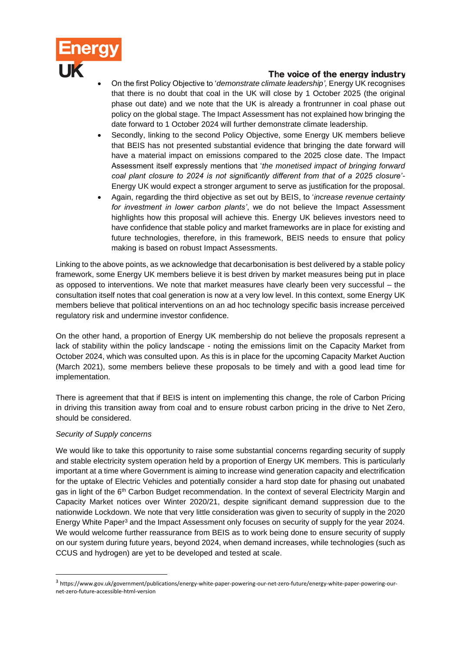

# The voice of the energy industry

- On the first Policy Objective to '*demonstrate climate leadership',* Energy UK recognises that there is no doubt that coal in the UK will close by 1 October 2025 (the original phase out date) and we note that the UK is already a frontrunner in coal phase out policy on the global stage. The Impact Assessment has not explained how bringing the date forward to 1 October 2024 will further demonstrate climate leadership.
- Secondly, linking to the second Policy Objective, some Energy UK members believe that BEIS has not presented substantial evidence that bringing the date forward will have a material impact on emissions compared to the 2025 close date. The Impact Assessment itself expressly mentions that '*the monetised impact of bringing forward coal plant closure to 2024 is not significantly different from that of a 2025 closure'-* Energy UK would expect a stronger argument to serve as justification for the proposal.
- Again, regarding the third objective as set out by BEIS, to '*increase revenue certainty for investment in lower carbon plants'*, we do not believe the Impact Assessment highlights how this proposal will achieve this. Energy UK believes investors need to have confidence that stable policy and market frameworks are in place for existing and future technologies, therefore, in this framework, BEIS needs to ensure that policy making is based on robust Impact Assessments.

Linking to the above points, as we acknowledge that decarbonisation is best delivered by a stable policy framework, some Energy UK members believe it is best driven by market measures being put in place as opposed to interventions. We note that market measures have clearly been very successful – the consultation itself notes that coal generation is now at a very low level. In this context, some Energy UK members believe that political interventions on an ad hoc technology specific basis increase perceived regulatory risk and undermine investor confidence.

On the other hand, a proportion of Energy UK membership do not believe the proposals represent a lack of stability within the policy landscape - noting the emissions limit on the Capacity Market from October 2024, which was consulted upon. As this is in place for the upcoming Capacity Market Auction (March 2021), some members believe these proposals to be timely and with a good lead time for implementation.

There is agreement that that if BEIS is intent on implementing this change, the role of Carbon Pricing in driving this transition away from coal and to ensure robust carbon pricing in the drive to Net Zero, should be considered.

#### *Security of Supply concerns*

We would like to take this opportunity to raise some substantial concerns regarding security of supply and stable electricity system operation held by a proportion of Energy UK members. This is particularly important at a time where Government is aiming to increase wind generation capacity and electrification for the uptake of Electric Vehicles and potentially consider a hard stop date for phasing out unabated gas in light of the 6<sup>th</sup> Carbon Budget recommendation. In the context of several Electricity Margin and Capacity Market notices over Winter 2020/21, despite significant demand suppression due to the nationwide Lockdown. We note that very little consideration was given to security of supply in the 2020 Energy White Paper<sup>3</sup> and the Impact Assessment only focuses on security of supply for the year 2024. We would welcome further reassurance from BEIS as to work being done to ensure security of supply on our system during future years, beyond 2024, when demand increases, while technologies (such as CCUS and hydrogen) are yet to be developed and tested at scale.

<sup>3</sup> https://www.gov.uk/government/publications/energy-white-paper-powering-our-net-zero-future/energy-white-paper-powering-ournet-zero-future-accessible-html-version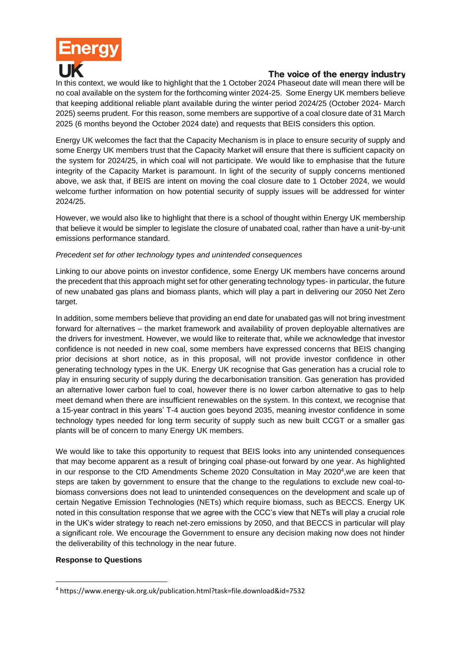

## The voice of the energy industry

In this context, we would like to highlight that the 1 October 2024 Phaseout date will mean there will be no coal available on the system for the forthcoming winter 2024-25. Some Energy UK members believe that keeping additional reliable plant available during the winter period 2024/25 (October 2024- March 2025) seems prudent. For this reason, some members are supportive of a coal closure date of 31 March 2025 (6 months beyond the October 2024 date) and requests that BEIS considers this option.

Energy UK welcomes the fact that the Capacity Mechanism is in place to ensure security of supply and some Energy UK members trust that the Capacity Market will ensure that there is sufficient capacity on the system for 2024/25, in which coal will not participate. We would like to emphasise that the future integrity of the Capacity Market is paramount. In light of the security of supply concerns mentioned above, we ask that, if BEIS are intent on moving the coal closure date to 1 October 2024, we would welcome further information on how potential security of supply issues will be addressed for winter 2024/25.

However, we would also like to highlight that there is a school of thought within Energy UK membership that believe it would be simpler to legislate the closure of unabated coal, rather than have a unit-by-unit emissions performance standard.

#### *Precedent set for other technology types and unintended consequences*

Linking to our above points on investor confidence, some Energy UK members have concerns around the precedent that this approach might set for other generating technology types- in particular, the future of new unabated gas plans and biomass plants, which will play a part in delivering our 2050 Net Zero target.

In addition, some members believe that providing an end date for unabated gas will not bring investment forward for alternatives – the market framework and availability of proven deployable alternatives are the drivers for investment. However, we would like to reiterate that, while we acknowledge that investor confidence is not needed in new coal, some members have expressed concerns that BEIS changing prior decisions at short notice, as in this proposal, will not provide investor confidence in other generating technology types in the UK. Energy UK recognise that Gas generation has a crucial role to play in ensuring security of supply during the decarbonisation transition. Gas generation has provided an alternative lower carbon fuel to coal, however there is no lower carbon alternative to gas to help meet demand when there are insufficient renewables on the system. In this context, we recognise that a 15-year contract in this years' T-4 auction goes beyond 2035, meaning investor confidence in some technology types needed for long term security of supply such as new built CCGT or a smaller gas plants will be of concern to many Energy UK members.

We would like to take this opportunity to request that BEIS looks into any unintended consequences that may become apparent as a result of bringing coal phase-out forward by one year. As highlighted in our response to the CfD Amendments Scheme 2020 Consultation in May 2020<sup>4</sup>, we are keen that steps are taken by government to ensure that the change to the regulations to exclude new coal-tobiomass conversions does not lead to unintended consequences on the development and scale up of certain Negative Emission Technologies (NETs) which require biomass, such as BECCS. Energy UK noted in this consultation response that we agree with the CCC's view that NETs will play a crucial role in the UK's wider strategy to reach net-zero emissions by 2050, and that BECCS in particular will play a significant role. We encourage the Government to ensure any decision making now does not hinder the deliverability of this technology in the near future.

#### **Response to Questions**

<sup>4</sup> https://www.energy-uk.org.uk/publication.html?task=file.download&id=7532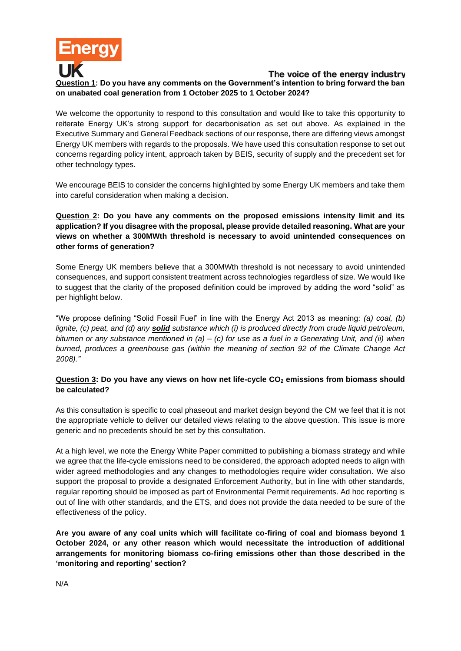

We welcome the opportunity to respond to this consultation and would like to take this opportunity to reiterate Energy UK's strong support for decarbonisation as set out above. As explained in the Executive Summary and General Feedback sections of our response, there are differing views amongst Energy UK members with regards to the proposals. We have used this consultation response to set out concerns regarding policy intent, approach taken by BEIS, security of supply and the precedent set for other technology types.

We encourage BEIS to consider the concerns highlighted by some Energy UK members and take them into careful consideration when making a decision.

**Question 2: Do you have any comments on the proposed emissions intensity limit and its application? If you disagree with the proposal, please provide detailed reasoning. What are your views on whether a 300MWth threshold is necessary to avoid unintended consequences on other forms of generation?** 

Some Energy UK members believe that a 300MWth threshold is not necessary to avoid unintended consequences, and support consistent treatment across technologies regardless of size. We would like to suggest that the clarity of the proposed definition could be improved by adding the word "solid" as per highlight below.

"We propose defining "Solid Fossil Fuel" in line with the Energy Act 2013 as meaning: *(a) coal, (b) lignite, (c) peat, and (d) any solid substance which (i) is produced directly from crude liquid petroleum, bitumen or any substance mentioned in (a) – (c) for use as a fuel in a Generating Unit, and (ii) when burned, produces a greenhouse gas (within the meaning of section 92 of the Climate Change Act 2008)."*

## **Question 3: Do you have any views on how net life-cycle CO<sup>2</sup> emissions from biomass should be calculated?**

As this consultation is specific to coal phaseout and market design beyond the CM we feel that it is not the appropriate vehicle to deliver our detailed views relating to the above question. This issue is more generic and no precedents should be set by this consultation.

At a high level, we note the Energy White Paper committed to publishing a biomass strategy and while we agree that the life-cycle emissions need to be considered, the approach adopted needs to align with wider agreed methodologies and any changes to methodologies require wider consultation. We also support the proposal to provide a designated Enforcement Authority, but in line with other standards, regular reporting should be imposed as part of Environmental Permit requirements. Ad hoc reporting is out of line with other standards, and the ETS, and does not provide the data needed to be sure of the effectiveness of the policy.

**Are you aware of any coal units which will facilitate co-firing of coal and biomass beyond 1 October 2024, or any other reason which would necessitate the introduction of additional arrangements for monitoring biomass co-firing emissions other than those described in the 'monitoring and reporting' section?**